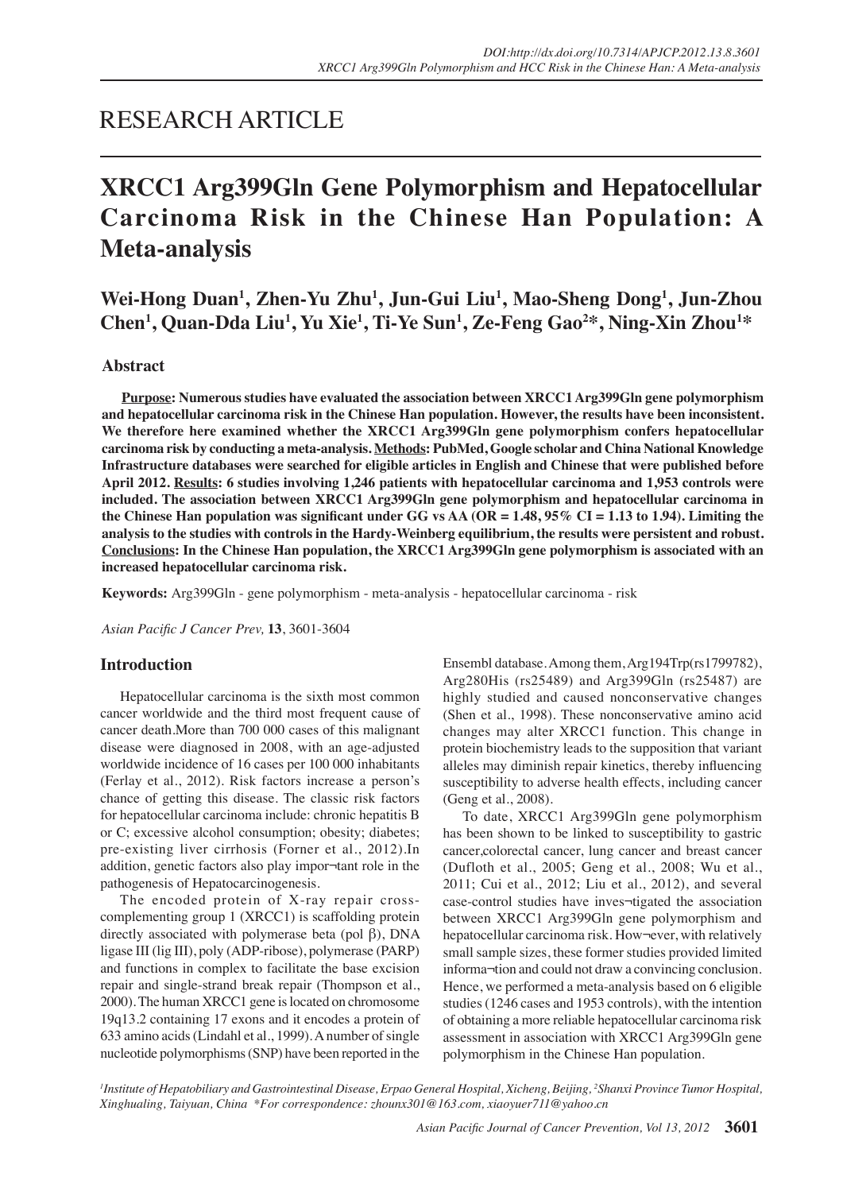## RESEARCH ARTICLE

# **XRCC1 Arg399Gln Gene Polymorphism and Hepatocellular Carcinoma Risk in the Chinese Han Population: A Meta-analysis**

**Wei-Hong Duan1 , Zhen-Yu Zhu1 , Jun-Gui Liu<sup>1</sup> , Mao-Sheng Dong1 , Jun-Zhou Chen1 , Quan-Dda Liu<sup>1</sup> , Yu Xie1 , Ti-Ye Sun1 , Ze-Feng Gao2 \*, Ning-Xin Zhou1 \***

#### **Abstract**

**Purpose: Numerous studies have evaluated the association between XRCC1 Arg399Gln gene polymorphism and hepatocellular carcinoma risk in the Chinese Han population. However, the results have been inconsistent. We therefore here examined whether the XRCC1 Arg399Gln gene polymorphism confers hepatocellular carcinoma risk by conducting a meta-analysis. Methods: PubMed, Google scholar and China National Knowledge Infrastructure databases were searched for eligible articles in English and Chinese that were published before April 2012. Results: 6 studies involving 1,246 patients with hepatocellular carcinoma and 1,953 controls were included. The association between XRCC1 Arg399Gln gene polymorphism and hepatocellular carcinoma in the Chinese Han population was significant under GG vs AA (OR = 1.48, 95% CI = 1.13 to 1.94). Limiting the analysis to the studies with controls in the Hardy-Weinberg equilibrium, the results were persistent and robust. Conclusions: In the Chinese Han population, the XRCC1 Arg399Gln gene polymorphism is associated with an increased hepatocellular carcinoma risk.**

**Keywords:** Arg399Gln - gene polymorphism - meta-analysis - hepatocellular carcinoma - risk

*Asian Pacific J Cancer Prev,* **13**, 3601-3604

#### **Introduction**

Hepatocellular carcinoma is the sixth most common cancer worldwide and the third most frequent cause of cancer death.More than 700 000 cases of this malignant disease were diagnosed in 2008, with an age-adjusted worldwide incidence of 16 cases per 100 000 inhabitants (Ferlay et al., 2012). Risk factors increase a person's chance of getting this disease. The classic risk factors for hepatocellular carcinoma include: chronic hepatitis B or C; excessive alcohol consumption; obesity; diabetes; pre-existing liver cirrhosis (Forner et al., 2012).In addition, genetic factors also play impor¬tant role in the pathogenesis of Hepatocarcinogenesis.

The encoded protein of X-ray repair crosscomplementing group 1 (XRCC1) is scaffolding protein directly associated with polymerase beta (pol β), DNA ligase III (lig III), poly (ADP-ribose), polymerase (PARP) and functions in complex to facilitate the base excision repair and single-strand break repair (Thompson et al., 2000). The human XRCC1 gene is located on chromosome 19q13.2 containing 17 exons and it encodes a protein of 633 amino acids (Lindahl et al., 1999). A number of single nucleotide polymorphisms (SNP) have been reported in the

Ensembl database. Among them, Arg194Trp(rs1799782), Arg280His (rs25489) and Arg399Gln (rs25487) are highly studied and caused nonconservative changes (Shen et al., 1998). These nonconservative amino acid changes may alter XRCC1 function. This change in protein biochemistry leads to the supposition that variant alleles may diminish repair kinetics, thereby influencing susceptibility to adverse health effects, including cancer (Geng et al., 2008).

To date, XRCC1 Arg399Gln gene polymorphism has been shown to be linked to susceptibility to gastric cancer,colorectal cancer, lung cancer and breast cancer (Dufloth et al., 2005; Geng et al., 2008; Wu et al., 2011; Cui et al., 2012; Liu et al., 2012), and several case-control studies have inves¬tigated the association between XRCC1 Arg399Gln gene polymorphism and hepatocellular carcinoma risk. How¬ever, with relatively small sample sizes, these former studies provided limited informa¬tion and could not draw a convincing conclusion. Hence, we performed a meta-analysis based on 6 eligible studies (1246 cases and 1953 controls), with the intention of obtaining a more reliable hepatocellular carcinoma risk assessment in association with XRCC1 Arg399Gln gene polymorphism in the Chinese Han population.

*1 Institute of Hepatobiliary and Gastrointestinal Disease, Erpao General Hospital, Xicheng, Beijing, <sup>2</sup> Shanxi Province Tumor Hospital, Xinghualing, Taiyuan, China \*For correspondence: zhounx301@163.com, xiaoyuer711@yahoo.cn*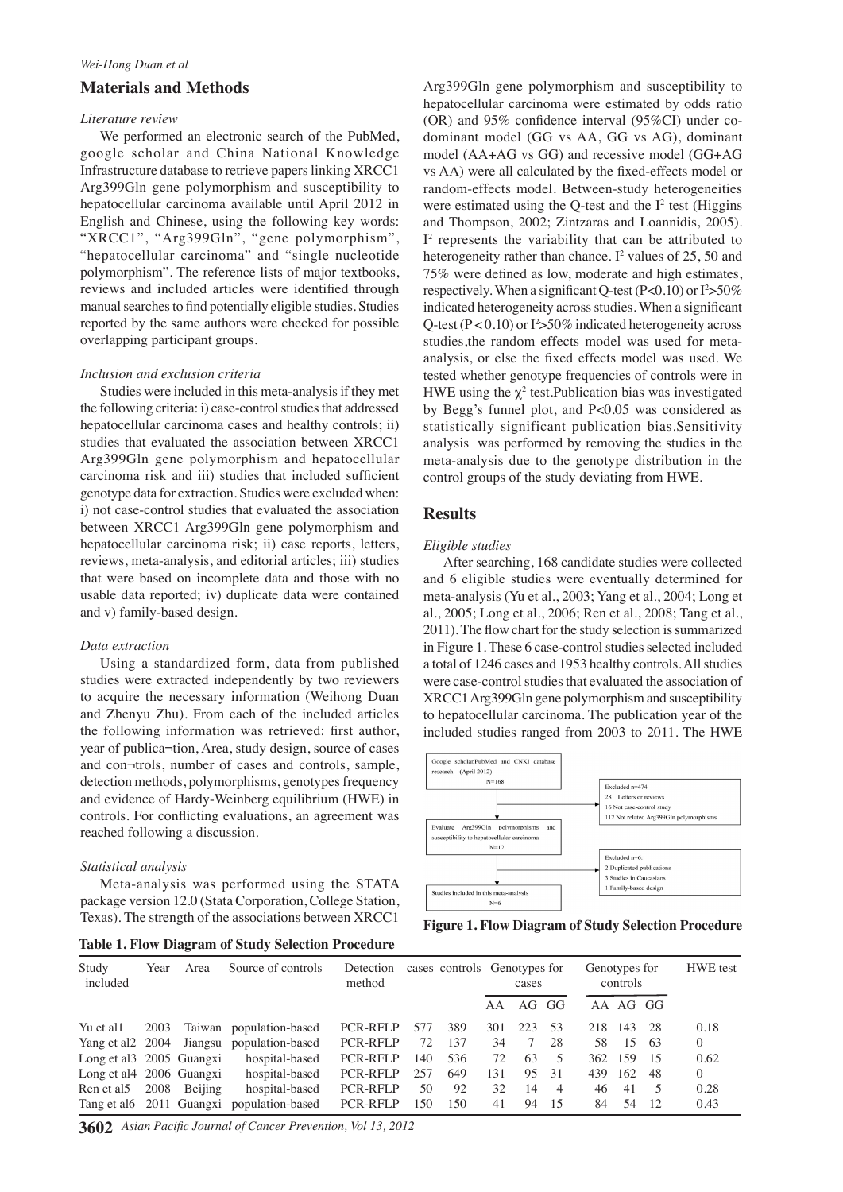#### **Materials and Methods**

#### *Literature review*

We performed an electronic search of the PubMed, google scholar and China National Knowledge Infrastructure database to retrieve papers linking XRCC1 Arg399Gln gene polymorphism and susceptibility to hepatocellular carcinoma available until April 2012 in English and Chinese, using the following key words: "XRCC1", "Arg399Gln", "gene polymorphism", "hepatocellular carcinoma" and "single nucleotide polymorphism". The reference lists of major textbooks, reviews and included articles were identified through manual searches to find potentially eligible studies. Studies reported by the same authors were checked for possible overlapping participant groups.

#### *Inclusion and exclusion criteria*

Studies were included in this meta-analysis if they met the following criteria: i) case-control studies that addressed hepatocellular carcinoma cases and healthy controls; ii) studies that evaluated the association between XRCC1 Arg399Gln gene polymorphism and hepatocellular carcinoma risk and iii) studies that included sufficient genotype data for extraction. Studies were excluded when: i) not case-control studies that evaluated the association between XRCC1 Arg399Gln gene polymorphism and hepatocellular carcinoma risk; ii) case reports, letters, reviews, meta-analysis, and editorial articles; iii) studies that were based on incomplete data and those with no usable data reported; iv) duplicate data were contained and v) family-based design.

#### *Data extraction*

Using a standardized form, data from published studies were extracted independently by two reviewers to acquire the necessary information (Weihong Duan and Zhenyu Zhu). From each of the included articles the following information was retrieved: first author, year of publica¬tion, Area, study design, source of cases and con¬trols, number of cases and controls, sample, detection methods, polymorphisms, genotypes frequency and evidence of Hardy-Weinberg equilibrium (HWE) in controls. For conflicting evaluations, an agreement was reached following a discussion.

#### *Statistical analysis*

Meta-analysis was performed using the STATA package version 12.0 (Stata Corporation, College Station, Texas). The strength of the associations between XRCC1

**Table 1. Flow Diagram of Study Selection Procedure**

Arg399Gln gene polymorphism and susceptibility to hepatocellular carcinoma were estimated by odds ratio (OR) and 95% confidence interval (95%CI) under codominant model (GG vs AA, GG vs AG), dominant model (AA+AG vs GG) and recessive model (GG+AG vs AA) were all calculated by the fixed-effects model or random-effects model. Between-study heterogeneities were estimated using the Q-test and the  $I<sup>2</sup>$  test (Higgins and Thompson, 2002; Zintzaras and Loannidis, 2005). I2 represents the variability that can be attributed to heterogeneity rather than chance.  $I^2$  values of 25, 50 and 75% were defined as low, moderate and high estimates, respectively. When a significant Q-test  $(P<0.10)$  or  $I^2 > 50\%$ indicated heterogeneity across studies. When a significant Q-test ( $P < 0.10$ ) or  $I^2 > 50\%$  indicated heterogeneity across studies,the random effects model was used for metaanalysis, or else the fixed effects model was used. We tested whether genotype frequencies of controls were in HWE using the  $\chi^2$  test. Publication bias was investigated by Begg's funnel plot, and P<0.05 was considered as statistically significant publication bias.Sensitivity analysis was performed by removing the studies in the meta-analysis due to the genotype distribution in the control groups of the study deviating from HWE.

#### **Results**

#### *Eligible studies*

After searching, 168 candidate studies were collected and 6 eligible studies were eventually determined for meta-analysis (Yu et al., 2003; Yang et al., 2004; Long et al., 2005; Long et al., 2006; Ren et al., 2008; Tang et al., 2011). The flow chart for the study selection is summarized in Figure 1. These 6 case-control studies selected included a total of 1246 cases and 1953 healthy controls. All studies were case-control studies that evaluated the association of XRCC1 Arg399Gln gene polymorphism and susceptibility to hepatocellular carcinoma. The publication year of the included studies ranged from 2003 to 2011. The HWE



**Figure 1. Flow Diagram of Study Selection Procedure**

| Study<br>included        | Year | Area    | Source of controls                        | Detection<br>method |     |     | cases controls Genotypes for<br>cases |     |                | Genotypes for | controls | <b>HWE</b> test |          |
|--------------------------|------|---------|-------------------------------------------|---------------------|-----|-----|---------------------------------------|-----|----------------|---------------|----------|-----------------|----------|
|                          |      |         |                                           |                     |     |     | AA                                    |     | AG GG          |               | AA AG GG |                 |          |
| Yu et all                | 2003 |         | Taiwan population-based                   | <b>PCR-RFLP</b>     | 577 | 389 | 301                                   | 223 | -53            | 218           | 143      | - 28            | 0.18     |
| Yang et al 2 2004        |      | Jiangsu | population-based                          | <b>PCR-RFLP</b>     | 72  | 137 | 34                                    | 7   | 28             | 58            | 15       | 63              | $\Omega$ |
| Long et al. 2005 Guangxi |      |         | hospital-based                            | <b>PCR-RFLP</b>     | 140 | 536 | 72                                    | 63  | $\overline{5}$ |               | 362 159  | - 15            | 0.62     |
| Long et al4 2006 Guangxi |      |         | hospital-based                            | <b>PCR-RFLP</b>     | 257 | 649 | 131                                   | 95  | -31            | 439           | 162      | -48             | $\Omega$ |
| Ren et al5               | 2008 | Beijing | hospital-based                            | <b>PCR-RFLP</b>     | 50  | 92  | 32                                    | 14  | $\overline{4}$ | 46            | 41       | 5               | 0.28     |
|                          |      |         | Tang et alo 2011 Guangxi population-based | <b>PCR-RFLP</b>     | 150 | 150 | 41                                    | 94  | -15            | 84            | 54       | 12              | 0.43     |

**3602** *Asian Pacific Journal of Cancer Prevention, Vol 13, 2012*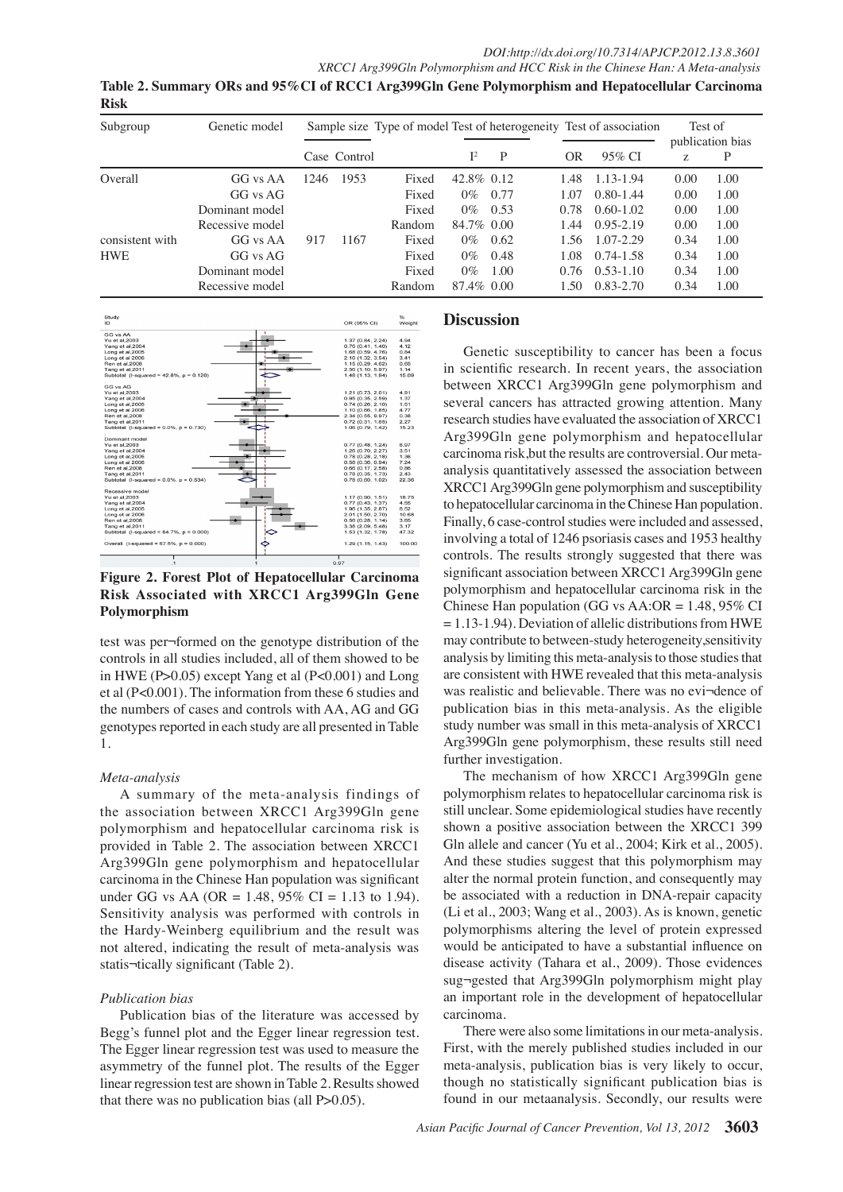**Table 2. Summary ORs and 95%CI of RCC1 Arg399Gln Gene Polymorphism and Hepatocellular Carcinoma Risk**

| Subgroup        | Genetic model   | Sample size Type of model Test of heterogeneity Test of association |              |        |                |      |  |      | Test of<br>publication bias |      |      |       |
|-----------------|-----------------|---------------------------------------------------------------------|--------------|--------|----------------|------|--|------|-----------------------------|------|------|-------|
|                 |                 |                                                                     | Case Control |        | $\mathbb{I}^2$ | P    |  | OR   | 95% CI                      | z    | P    |       |
| Overall         | GG vs AA        | 1246                                                                | 1953         | Fixed  | 42.8% 0.12     |      |  | 1.48 | 1.13-1.94                   | 0.00 | 1.00 |       |
|                 | GG vs AG        |                                                                     |              | Fixed  | $0\%$          | 0.77 |  | 1.07 | $0.80 - 1.44$               | 0.00 | 1.00 |       |
|                 | Dominant model  |                                                                     |              | Fixed  | $0\%$          | 0.53 |  | 0.78 | $0.60 - 1.02$               | 0.00 | 1.00 |       |
|                 | Recessive model |                                                                     |              | Random | 84.7\% 0.00    |      |  | 1.44 | $0.95 - 2.19$               | 0.00 | 1.00 |       |
| consistent with | GG vs AA        | 917                                                                 | 1167         | Fixed  | $0\%$          | 0.62 |  | 1.56 | $1.07 - 2.29$               | 0.34 | 1.00 |       |
| <b>HWE</b>      | GG vs AG        |                                                                     |              | Fixed  | $0\%$          | 0.48 |  | 1.08 | $0.74 - 1.58$               | 0.34 | 1.00 | 100.0 |
|                 | Dominant model  |                                                                     |              | Fixed  | $0\%$          | 1.00 |  | 0.76 | $0.53 - 1.10$               | 0.34 | 1.00 |       |
|                 | Recessive model |                                                                     |              | Random | 87.4\% 0.00    |      |  | 1.50 | 0.83-2.70                   | 0.34 | 1.00 |       |



**Figure 2. Forest Plot of Hepatocellular Carcinoma Risk Associated with XRCC1 Arg399Gln Gene Polymorphism**

test was per¬formed on the genotype distribution of the controls in all studies included, all of them showed to be in HWE (P>0.05) except Yang et al (P<0.001) and Long et al (P<0.001). The information from these 6 studies and the numbers of cases and controls with AA, AG and GG genotypes reported in each study are all presented in Table 1.

## *Meta-analysis*

A summary of the meta-analysis findings of the association between XRCC1 Arg399Gln gene polymorphism and hepatocellular carcinoma risk is provided in Table 2. The association between XRCC1 Arg399Gln gene polymorphism and hepatocellular carcinoma in the Chinese Han population was significant under GG vs AA (OR = 1.48, 95% CI = 1.13 to 1.94). Sensitivity analysis was performed with controls in the Hardy-Weinberg equilibrium and the result was not altered, indicating the result of meta-analysis was statis¬tically significant (Table 2).

## *Publication bias*

Publication bias of the literature was accessed by Begg's funnel plot and the Egger linear regression test. The Egger linear regression test was used to measure the asymmetry of the funnel plot. The results of the Egger linear regression test are shown in Table 2. Results showed that there was no publication bias (all P>0.05).

### **Discussion**

 $\Omega$ Arg399Gln gene polymorphism and hepatocellular<sup>25.0</sup> in scientific research. In recent years, the association<sub>50.0</sub> Genetic susceptibility to cancer has been a focus between XRCC1 Arg399Gln gene polymorphism and several cancers has attracted growing attention. Many research studies have evaluated the association of XRCC1 carcinoma risk,but the results are controversial. Our metaanalysis quantitatively assessed the association between XRCC1 Arg399Gln gene polymorphism and susceptibility to hepatocellular carcinoma in the Chinese Han population. Finally, 6 case-control studies were included and assessed, involving a total of 1246 psoriasis cases and 1953 healthy controls. The results strongly suggested that there was significant association between XRCC1 Arg399Gln gene polymorphism and hepatocellular carcinoma risk in the Chinese Han population (GG vs  $AA:OR = 1.48,95\%$  CI  $= 1.13-1.94$ ). Deviation of allelic distributions from HWE may contribute to between-study heterogeneity,sensitivity analysis by limiting this meta-analysis to those studies that are consistent with HWE revealed that this meta-analysis was realistic and believable. There was no evi¬dence of publication bias in this meta-analysis. As the eligible study number was small in this meta-analysis of XRCC1 Arg399Gln gene polymorphism, these results still need further investigation.

The mechanism of how XRCC1 Arg399Gln gene polymorphism relates to hepatocellular carcinoma risk is still unclear. Some epidemiological studies have recently shown a positive association between the XRCC1 399 Gln allele and cancer (Yu et al., 2004; Kirk et al., 2005). And these studies suggest that this polymorphism may alter the normal protein function, and consequently may be associated with a reduction in DNA-repair capacity (Li et al., 2003; Wang et al., 2003). As is known, genetic polymorphisms altering the level of protein expressed would be anticipated to have a substantial influence on disease activity (Tahara et al., 2009). Those evidences sug¬gested that Arg399Gln polymorphism might play an important role in the development of hepatocellular carcinoma.

There were also some limitations in our meta-analysis. First, with the merely published studies included in our meta-analysis, publication bias is very likely to occur, though no statistically significant publication bias is found in our metaanalysis. Secondly, our results were

**20.3 6.3 10.1**

75.0